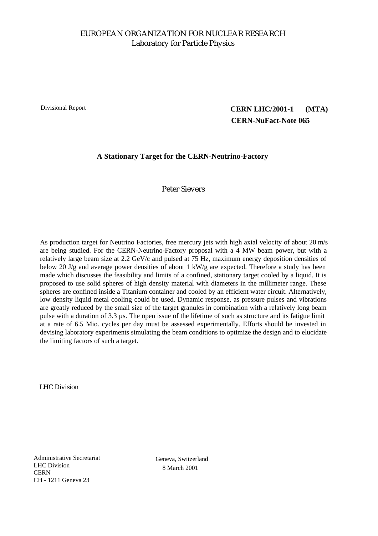# EUROPEAN ORGANIZATION FOR NUCLEAR RESEARCH Laboratory for Particle Physics

Divisional Report

**(MTA) CERN-NuFact-Note 065 CERN LHC/2001-1**

## **A Stationary Target for the CERN-Neutrino-Factory**

Peter Sievers

As production target for Neutrino Factories, free mercury jets with high axial velocity of about 20 m/s are being studied. For the CERN-Neutrino-Factory proposal with a 4 MW beam power, but with a relatively large beam size at 2.2 GeV/c and pulsed at 75 Hz, maximum energy deposition densities of below 20 J/g and average power densities of about 1 kW/g are expected. Therefore a study has been made which discusses the feasibility and limits of a confined, stationary target cooled by a liquid. It is proposed to use solid spheres of high density material with diameters in the millimeter range. These spheres are confined inside a Titanium container and cooled by an efficient water circuit. Alternatively, low density liquid metal cooling could be used. Dynamic response, as pressure pulses and vibrations are greatly reduced by the small size of the target granules in combination with a relatively long beam pulse with a duration of 3.3 µs. The open issue of the lifetime of such as structure and its fatigue limit at a rate of 6.5 Mio. cycles per day must be assessed experimentally. Efforts should be invested in devising laboratory experiments simulating the beam conditions to optimize the design and to elucidate the limiting factors of such a target.

LHC Division

Administrative Secretariat LHC Division **CERN** CH - 1211 Geneva 23

Geneva, Switzerland 8 March 2001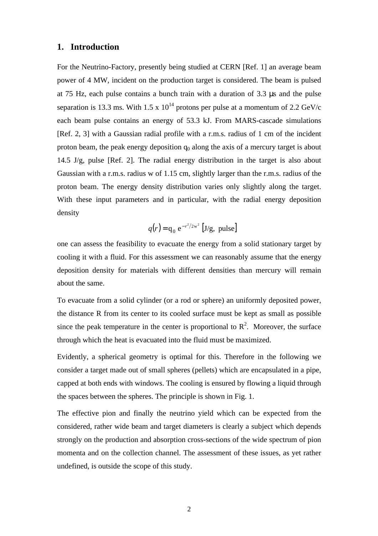# **1. Introduction**

For the Neutrino-Factory, presently being studied at CERN [Ref. 1] an average beam power of 4 MW, incident on the production target is considered. The beam is pulsed at 75 Hz, each pulse contains a bunch train with a duration of 3.3 μs and the pulse separation is 13.3 ms. With 1.5 x  $10^{14}$  protons per pulse at a momentum of 2.2 GeV/c each beam pulse contains an energy of 53.3 kJ. From MARS-cascade simulations [Ref. 2, 3] with a Gaussian radial profile with a r.m.s. radius of 1 cm of the incident proton beam, the peak energy deposition  $q_0$  along the axis of a mercury target is about 14.5 J/g, pulse [Ref. 2]. The radial energy distribution in the target is also about Gaussian with a r.m.s. radius w of 1.15 cm, slightly larger than the r.m.s. radius of the proton beam. The energy density distribution varies only slightly along the target. With these input parameters and in particular, with the radial energy deposition density

$$
q(r) = q_0 e^{-r^2/2w^2}
$$
 [J/g, pulse]

one can assess the feasibility to evacuate the energy from a solid stationary target by cooling it with a fluid. For this assessment we can reasonably assume that the energy deposition density for materials with different densities than mercury will remain about the same.

To evacuate from a solid cylinder (or a rod or sphere) an uniformly deposited power, the distance R from its center to its cooled surface must be kept as small as possible since the peak temperature in the center is proportional to  $\mathbb{R}^2$ . Moreover, the surface through which the heat is evacuated into the fluid must be maximized.

Evidently, a spherical geometry is optimal for this. Therefore in the following we consider a target made out of small spheres (pellets) which are encapsulated in a pipe, capped at both ends with windows. The cooling is ensured by flowing a liquid through the spaces between the spheres. The principle is shown in Fig. 1.

The effective pion and finally the neutrino yield which can be expected from the considered, rather wide beam and target diameters is clearly a subject which depends strongly on the production and absorption cross-sections of the wide spectrum of pion momenta and on the collection channel. The assessment of these issues, as yet rather undefined, is outside the scope of this study.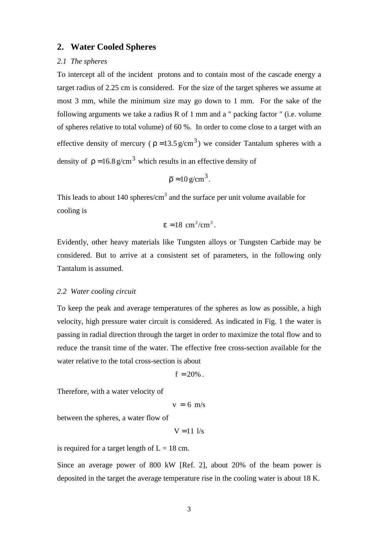# **2. Water Cooled Spheres**

#### *2.1 The spheres*

To intercept all of the incident protons and to contain most of the cascade energy a target radius of 2.25 cm is considered. For the size of the target spheres we assume at most 3 mm, while the minimum size may go down to 1 mm. For the sake of the following arguments we take a radius R of 1 mm and a " packing factor " (i.e. volume of spheres relative to total volume) of 60 %. In order to come close to a target with an effective density of mercury ( $r = 13.5 \text{ g/cm}^3$ ) we consider Tantalum spheres with a density of  $r = 16.8 \text{ g/cm}^3$  which results in an effective density of

$$
\overline{r} \approx 10 \text{ g/cm}^3.
$$

This leads to about 140 spheres/cm<sup>3</sup> and the surface per unit volume available for cooling is

$$
e=18 \text{ cm}^2/\text{cm}^3.
$$

Evidently, other heavy materials like Tungsten alloys or Tungsten Carbide may be considered. But to arrive at a consistent set of parameters, in the following only Tantalum is assumed.

### *2.2 Water cooling circuit*

To keep the peak and average temperatures of the spheres as low as possible, a high velocity, high pressure water circuit is considered. As indicated in Fig. 1 the water is passing in radial direction through the target in order to maximize the total flow and to reduce the transit time of the water. The effective free cross-section available for the water relative to the total cross-section is about

 $f = 20%$ 

Therefore, with a water velocity of

 $v = 6$  m/s

between the spheres, a water flow of

 $V = 11$   $1/s$ 

is required for a target length of  $L = 18$  cm.

Since an average power of 800 kW [Ref. 2], about 20% of the beam power is deposited in the target the average temperature rise in the cooling water is about 18 K.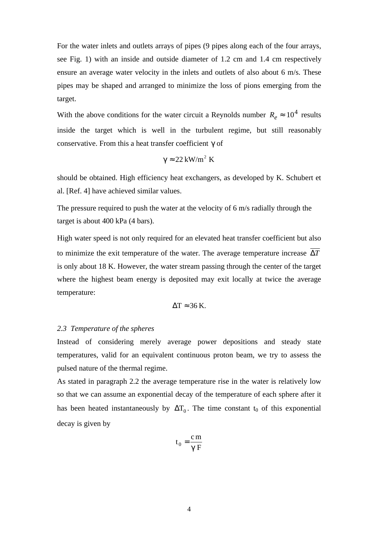For the water inlets and outlets arrays of pipes (9 pipes along each of the four arrays, see Fig. 1) with an inside and outside diameter of 1.2 cm and 1.4 cm respectively ensure an average water velocity in the inlets and outlets of also about 6 m/s. These pipes may be shaped and arranged to minimize the loss of pions emerging from the target.

With the above conditions for the water circuit a Reynolds number  $R_e \approx 10^4$  results inside the target which is well in the turbulent regime, but still reasonably conservative. From this a heat transfer coefficient *g* of

$$
g \approx 22 \,\mathrm{kW/m^2} \,\mathrm{K}
$$

should be obtained. High efficiency heat exchangers, as developed by K. Schubert et al. [Ref. 4] have achieved similar values.

The pressure required to push the water at the velocity of 6 m/s radially through the target is about 400 kPa (4 bars).

High water speed is not only required for an elevated heat transfer coefficient but also to minimize the exit temperature of the water. The average temperature increase  $\overline{\Delta T}$ is only about 18 K. However, the water stream passing through the center of the target where the highest beam energy is deposited may exit locally at twice the average temperature:

$$
\Delta T \approx 36 \text{ K}.
$$

#### *2.3 Temperature of the spheres*

Instead of considering merely average power depositions and steady state temperatures, valid for an equivalent continuous proton beam, we try to assess the pulsed nature of the thermal regime.

As stated in paragraph 2.2 the average temperature rise in the water is relatively low so that we can assume an exponential decay of the temperature of each sphere after it has been heated instantaneously by  $\Delta T_0$ . The time constant t<sub>0</sub> of this exponential decay is given by

$$
t_0 = \frac{c m}{g F}
$$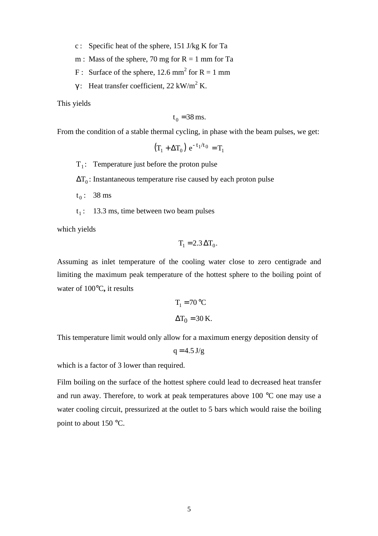- c : Specific heat of the sphere, 151 J/kg K for Ta
- m : Mass of the sphere, 70 mg for  $R = 1$  mm for Ta
- F: Surface of the sphere, 12.6 mm<sup>2</sup> for R = 1 mm
- $\gamma$ : Heat transfer coefficient, 22 kW/m<sup>2</sup> K.

This yields

$$
t_0 = 38 \,\mathrm{ms}.
$$

From the condition of a stable thermal cycling, in phase with the beam pulses, we get:

$$
(T_1 + \Delta T_0) e^{-t_1/t_0} = T_1
$$

 $T_1$ : Temperature just before the proton pulse

- $\Delta T_0$ : Instantaneous temperature rise caused by each proton pulse
- $t_0$ : 38 ms
- $t_1$ : 13.3 ms, time between two beam pulses

which yields

$$
T_1 = 2.3 \,\Delta T_0.
$$

Assuming as inlet temperature of the cooling water close to zero centigrade and limiting the maximum peak temperature of the hottest sphere to the boiling point of water of 100°C**,** it results

$$
T_1 = 70 \,^{\circ}\text{C}
$$

$$
\Delta T_0 = 30 \, \text{K}.
$$

This temperature limit would only allow for a maximum energy deposition density of

$$
q = 4.5 \text{ J/g}
$$

which is a factor of 3 lower than required.

Film boiling on the surface of the hottest sphere could lead to decreased heat transfer and run away. Therefore, to work at peak temperatures above 100 °C one may use a water cooling circuit, pressurized at the outlet to 5 bars which would raise the boiling point to about 150 °C.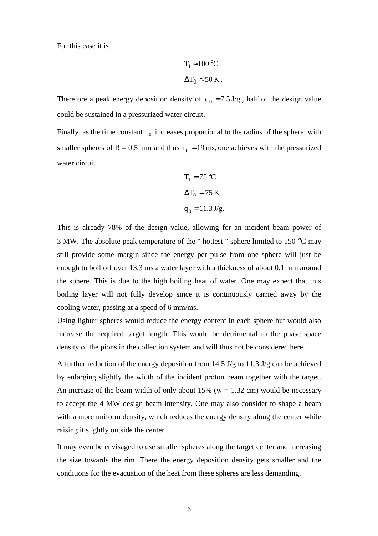For this case it is

$$
T_1 \approx 100 \,^{\circ}\text{C}
$$

$$
\Delta T_0 \approx 50 \, \text{K}.
$$

Therefore a peak energy deposition density of  $q_0 = 7.5 \text{ J/g}$ , half of the design value could be sustained in a pressurized water circuit.

Finally, as the time constant  $t_0$  increases proportional to the radius of the sphere, with smaller spheres of R = 0.5 mm and thus  $t_0 = 19$  ms, one achieves with the pressurized water circuit

$$
T_1 = 75 \,^{\circ}\text{C}
$$

$$
\Delta T_0 = 75 \, \text{K}
$$

$$
q_0 = 11.3 \, \text{J/g}.
$$

This is already 78% of the design value, allowing for an incident beam power of 3 MW. The absolute peak temperature of the " hottest " sphere limited to 150 °C may still provide some margin since the energy per pulse from one sphere will just be enough to boil off over 13.3 ms a water layer with a thickness of about 0.1 mm around the sphere. This is due to the high boiling heat of water. One may expect that this boiling layer will not fully develop since it is continuously carried away by the cooling water, passing at a speed of 6 mm/ms.

Using lighter spheres would reduce the energy content in each sphere but would also increase the required target length. This would be detrimental to the phase space density of the pions in the collection system and will thus not be considered here.

A further reduction of the energy deposition from 14.5 J/g to 11.3 J/g can be achieved by enlarging slightly the width of the incident proton beam together with the target. An increase of the beam width of only about 15% ( $w = 1.32$  cm) would be necessary to accept the 4 MW design beam intensity. One may also consider to shape a beam with a more uniform density, which reduces the energy density along the center while raising it slightly outside the center.

It may even be envisaged to use smaller spheres along the target center and increasing the size towards the rim. There the energy deposition density gets smaller and the conditions for the evacuation of the heat from these spheres are less demanding.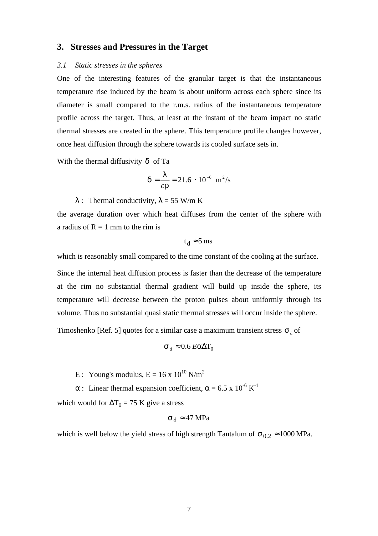# **3. Stresses and Pressures in the Target**

#### *3.1 Static stresses in the spheres*

One of the interesting features of the granular target is that the instantaneous temperature rise induced by the beam is about uniform across each sphere since its diameter is small compared to the r.m.s. radius of the instantaneous temperature profile across the target. Thus, at least at the instant of the beam impact no static thermal stresses are created in the sphere. This temperature profile changes however, once heat diffusion through the sphere towards its cooled surface sets in.

With the thermal diffusivity *d* of Ta

$$
d = \frac{I}{cr} = 21.6 \cdot 10^{-6} \text{ m}^2/\text{s}
$$

 $\lambda$  : Thermal conductivity,  $\lambda = 55$  W/m K

the average duration over which heat diffuses from the center of the sphere with a radius of  $R = 1$  mm to the rim is

$$
t_d \approx 5 \,\mathrm{ms}
$$

which is reasonably small compared to the time constant of the cooling at the surface.

Since the internal heat diffusion process is faster than the decrease of the temperature at the rim no substantial thermal gradient will build up inside the sphere, its temperature will decrease between the proton pulses about uniformly through its volume. Thus no substantial quasi static thermal stresses will occur inside the sphere.

Timoshenko [Ref. 5] quotes for a similar case a maximum transient stress  $s_d$  of

$$
\mathbf{S}_{\mathrm{d}}\approx 0.6\,E\mathbf{a}\Delta T_0
$$

- E : Young's modulus,  $E = 16 \times 10^{10}$  N/m<sup>2</sup>
- $\alpha$  : Linear thermal expansion coefficient,  $\alpha = 6.5 \times 10^{-6} \text{ K}^{-1}$

which would for  $\Delta T_0 = 75$  K give a stress

$$
s_d \approx 47 \text{ MPa}
$$

which is well below the yield stress of high strength Tantalum of  $\mathbf{s}_{0.2} \approx 1000 \text{ MPa}$ .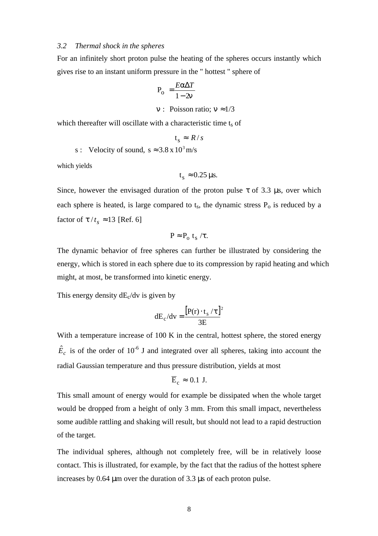## *3.2 Thermal shock in the spheres*

For an infinitely short proton pulse the heating of the spheres occurs instantly which gives rise to an instant uniform pressure in the " hottest " sphere of

$$
P_o = \frac{Ea\Delta T}{1 - 2n}
$$

$$
n
$$
: Poisson ratio;  $n \approx 1/3$ 

which thereafter will oscillate with a characteristic time  $t_s$  of

$$
t_s \approx R/s
$$
  
s: Velocity of sound,  $s \approx 3.8 \times 10^3$  m/s

which yields

$$
t_s \approx 0.25 \text{ ms}.
$$

Since, however the envisaged duration of the proton pulse  $\tau$  of 3.3 μs, over which each sphere is heated, is large compared to  $t_s$ , the dynamic stress  $P_0$  is reduced by a factor of  $t/t_s \approx 13$  [Ref. 6]

$$
P \approx P_o t_s / t.
$$

The dynamic behavior of free spheres can further be illustrated by considering the energy, which is stored in each sphere due to its compression by rapid heating and which might, at most, be transformed into kinetic energy.

This energy density  $dE_c/dv$  is given by

$$
dE_c/dv = \frac{[P(r) \cdot t_s / t]}{3E}^2
$$

With a temperature increase of 100 K in the central, hottest sphere, the stored energy  $\hat{E}_c$  is of the order of 10<sup>-6</sup> J and integrated over all spheres, taking into account the radial Gaussian temperature and thus pressure distribution, yields at most

$$
\overline{\mathrm{E}}_{\mathrm{c}}\approx 0.1\,\mathrm{J}.
$$

This small amount of energy would for example be dissipated when the whole target would be dropped from a height of only 3 mm. From this small impact, nevertheless some audible rattling and shaking will result, but should not lead to a rapid destruction of the target.

The individual spheres, although not completely free, will be in relatively loose contact. This is illustrated, for example, by the fact that the radius of the hottest sphere increases by 0.64 μm over the duration of 3.3 μs of each proton pulse.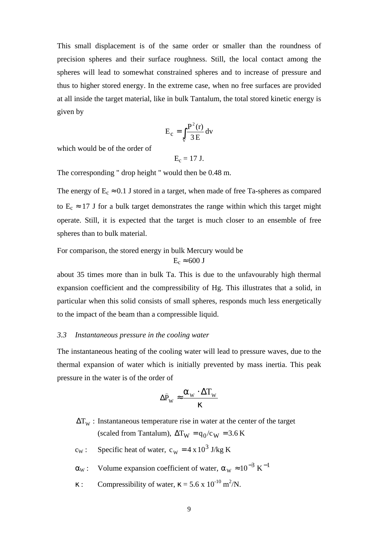This small displacement is of the same order or smaller than the roundness of precision spheres and their surface roughness. Still, the local contact among the spheres will lead to somewhat constrained spheres and to increase of pressure and thus to higher stored energy. In the extreme case, when no free surfaces are provided at all inside the target material, like in bulk Tantalum, the total stored kinetic energy is given by

$$
E_c = \int_{v} \frac{P^2(r)}{3E} dv
$$

which would be of the order of

$$
E_c = 17 \text{ J}.
$$

The corresponding " drop height " would then be 0.48 m.

The energy of  $E_c \approx 0.1$  J stored in a target, when made of free Ta-spheres as compared to  $E_c \approx 17$  J for a bulk target demonstrates the range within which this target might operate. Still, it is expected that the target is much closer to an ensemble of free spheres than to bulk material.

For comparison, the stored energy in bulk Mercury would be

$$
E_c \approx 600 \text{ J}
$$

about 35 times more than in bulk Ta. This is due to the unfavourably high thermal expansion coefficient and the compressibility of Hg. This illustrates that a solid, in particular when this solid consists of small spheres, responds much less energetically to the impact of the beam than a compressible liquid.

#### *3.3 Instantaneous pressure in the cooling water*

The instantaneous heating of the cooling water will lead to pressure waves, due to the thermal expansion of water which is initially prevented by mass inertia. This peak pressure in the water is of the order of

$$
\Delta \widehat{P}_{w} \approx \frac{\boldsymbol{a}_{w} \cdot \Delta T_{w}}{\boldsymbol{k}}
$$

- $\Delta T_{W}$  : Instantaneous temperature rise in water at the center of the target (scaled from Tantalum),  $\Delta T_W = q_0/c_W = 3.6 \text{ K}$
- $c_W$ : Specific heat of water,  $c_W = 4 \times 10^3$  J/kg K
- $\alpha_w$ : Volume expansion coefficient of water,  $a_w \approx 10^{-3} \text{ K}^{-1}$
- $\kappa$ : Compressibility of water,  $\kappa = 5.6 \times 10^{-10} \text{ m}^2/\text{N}$ .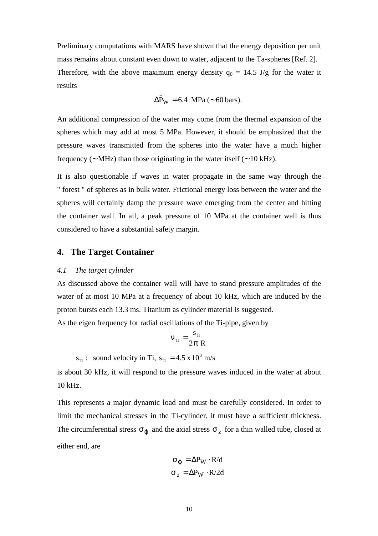Preliminary computations with MARS have shown that the energy deposition per unit mass remains about constant even down to water, adjacent to the Ta-spheres [Ref. 2]. Therefore, with the above maximum energy density  $q_0 = 14.5$  J/g for the water it results

$$
\Delta \hat{P}_W = 6.4 \text{ MPa} (-60 \text{ bars}).
$$

An additional compression of the water may come from the thermal expansion of the spheres which may add at most 5 MPa. However, it should be emphasized that the pressure waves transmitted from the spheres into the water have a much higher frequency (∼ MHz) than those originating in the water itself (∼ 10 kHz).

It is also questionable if waves in water propagate in the same way through the " forest " of spheres as in bulk water. Frictional energy loss between the water and the spheres will certainly damp the pressure wave emerging from the center and hitting the container wall. In all, a peak pressure of 10 MPa at the container wall is thus considered to have a substantial safety margin.

## **4. The Target Container**

#### *4.1 The target cylinder*

As discussed above the container wall will have to stand pressure amplitudes of the water of at most 10 MPa at a frequency of about 10 kHz, which are induced by the proton bursts each 13.3 ms. Titanium as cylinder material is suggested.

As the eigen frequency for radial oscillations of the Ti-pipe, given by

$$
n_{\rm Ti} = \frac{\rm s_{\rm Ti}}{2\,p\,\rm R}
$$

 $s_{\text{Ti}}$ : sound velocity in Ti,  $s_{\text{Ti}} = 4.5 \times 10^3$  m/s

is about 30 kHz, it will respond to the pressure waves induced in the water at about 10 kHz.

This represents a major dynamic load and must be carefully considered. In order to limit the mechanical stresses in the Ti-cylinder, it must have a sufficient thickness. The circumferential stress  $s_j$  and the axial stress  $s_z$  for a thin walled tube, closed at either end, are

$$
s_j = \Delta P_W \cdot R/d
$$

$$
s_z = \Delta P_W \cdot R/2d
$$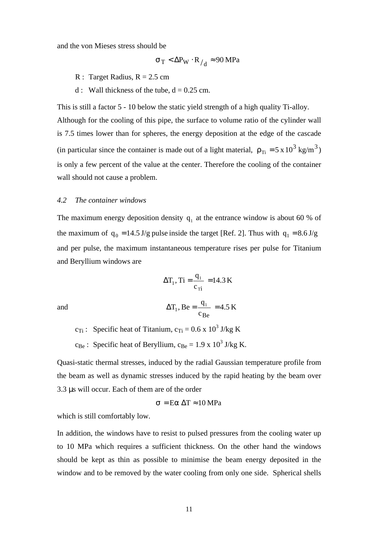and the von Mieses stress should be

$$
\mathbf{s}_{\mathrm{T}} < \Delta P_{\mathrm{W}} \cdot R_{\mathrm{d}} \approx 90 \,\mathrm{MPa}
$$

- R : Target Radius,  $R = 2.5$  cm
- d : Wall thickness of the tube,  $d = 0.25$  cm.

This is still a factor 5 - 10 below the static yield strength of a high quality Ti-alloy. Although for the cooling of this pipe, the surface to volume ratio of the cylinder wall is 7.5 times lower than for spheres, the energy deposition at the edge of the cascade (in particular since the container is made out of a light material,  $r_{\text{Ti}} = 5 \times 10^3 \text{ kg/m}^3$ ) is only a few percent of the value at the center. Therefore the cooling of the container wall should not cause a problem.

#### *4.2 The container windows*

The maximum energy deposition density  $q_1$  at the entrance window is about 60 % of the maximum of  $q_0 = 14.5$  J/g pulse inside the target [Ref. 2]. Thus with  $q_1 = 8.6$  J/g and per pulse, the maximum instantaneous temperature rises per pulse for Titanium and Beryllium windows are

$$
\Delta T_1
$$
, Ti =  $\frac{q_1}{c_{\text{ri}}}$  = 14.3 K

and 
$$
\Delta T_1
$$
, Be =  $\frac{q_1}{c_{Be}} = 4.5 \text{ K}$ 

- $c_{Ti}$ : Specific heat of Titanium,  $c_{Ti} = 0.6 \times 10^3$  J/kg K
- $c_{\text{Be}}$ : Specific heat of Beryllium,  $c_{\text{Be}} = 1.9 \times 10^3$  J/kg K.

Quasi-static thermal stresses, induced by the radial Gaussian temperature profile from the beam as well as dynamic stresses induced by the rapid heating by the beam over 3.3 μs will occur. Each of them are of the order

$$
s = Ea \Delta T \approx 10 MPa
$$

which is still comfortably low.

In addition, the windows have to resist to pulsed pressures from the cooling water up to 10 MPa which requires a sufficient thickness. On the other hand the windows should be kept as thin as possible to minimise the beam energy deposited in the window and to be removed by the water cooling from only one side. Spherical shells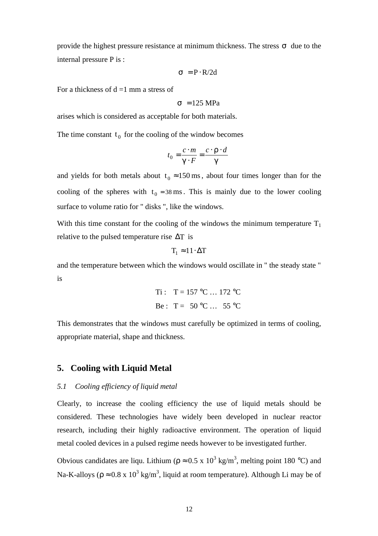provide the highest pressure resistance at minimum thickness. The stress *s* due to the internal pressure P is :

$$
s = P \cdot R/2d
$$

For a thickness of  $d = 1$  mm a stress of

$$
s = 125 \text{ MPa}
$$

arises which is considered as acceptable for both materials.

The time constant  $t_0$  for the cooling of the window becomes

$$
t_0 = \frac{c \cdot m}{g \cdot F} = \frac{c \cdot r \cdot d}{g}
$$

and yields for both metals about  $t_0 \approx 150$  ms, about four times longer than for the cooling of the spheres with  $t_0 = 38 \text{ ms}$ . This is mainly due to the lower cooling surface to volume ratio for " disks ", like the windows.

With this time constant for the cooling of the windows the minimum temperature  $T_1$ relative to the pulsed temperature rise  $\Delta T$  is

$$
T_1 \approx 11 \cdot \Delta T
$$

and the temperature between which the windows would oscillate in " the steady state " is

Ti: 
$$
T = 157
$$
 °C ... 172 °C  
Be:  $T = 50$  °C ... 55 °C

This demonstrates that the windows must carefully be optimized in terms of cooling, appropriate material, shape and thickness.

# **5. Cooling with Liquid Metal**

# *5.1 Cooling efficiency of liquid metal*

Clearly, to increase the cooling efficiency the use of liquid metals should be considered. These technologies have widely been developed in nuclear reactor research, including their highly radioactive environment. The operation of liquid metal cooled devices in a pulsed regime needs however to be investigated further.

Obvious candidates are liqu. Lithium ( $\rho \approx 0.5 \times 10^3 \text{ kg/m}^3$ , melting point 180 °C) and Na-K-alloys ( $\rho \approx 0.8 \times 10^3 \text{ kg/m}^3$ , liquid at room temperature). Although Li may be of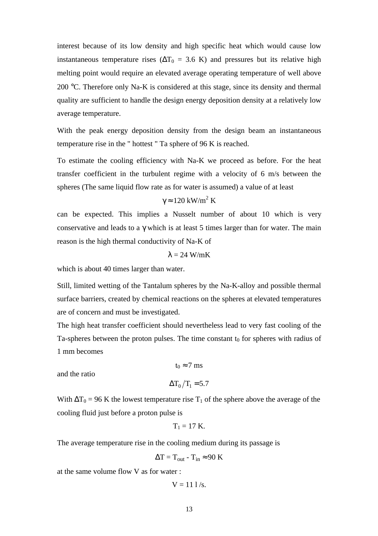interest because of its low density and high specific heat which would cause low instantaneous temperature rises ( $\Delta T_0 = 3.6$  K) and pressures but its relative high melting point would require an elevated average operating temperature of well above 200 °C. Therefore only Na-K is considered at this stage, since its density and thermal quality are sufficient to handle the design energy deposition density at a relatively low average temperature.

With the peak energy deposition density from the design beam an instantaneous temperature rise in the " hottest " Ta sphere of 96 K is reached.

To estimate the cooling efficiency with Na-K we proceed as before. For the heat transfer coefficient in the turbulent regime with a velocity of 6 m/s between the spheres (The same liquid flow rate as for water is assumed) a value of at least

$$
\gamma \approx 120 \text{ kW/m}^2 \text{ K}
$$

can be expected. This implies a Nusselt number of about 10 which is very conservative and leads to a  $\gamma$  which is at least 5 times larger than for water. The main reason is the high thermal conductivity of Na-K of

$$
\lambda=24\ W/mK
$$

which is about 40 times larger than water.

Still, limited wetting of the Tantalum spheres by the Na-K-alloy and possible thermal surface barriers, created by chemical reactions on the spheres at elevated temperatures are of concern and must be investigated.

The high heat transfer coefficient should nevertheless lead to very fast cooling of the Ta-spheres between the proton pulses. The time constant  $t_0$  for spheres with radius of 1 mm becomes

and the ratio

$$
\Delta T_0/T_1 = 5.7
$$

 $t_0 \approx 7$  ms

With 
$$
\Delta T_0 = 96
$$
 K the lowest temperature rise  $T_1$  of the sphere above the average of the cooling fluid just before a proton pulse is

$$
T_1=17\ K.
$$

The average temperature rise in the cooling medium during its passage is

$$
\Delta T = T_{out} - T_{in} \approx 90~K
$$

at the same volume flow V as for water :

$$
V=111/s.
$$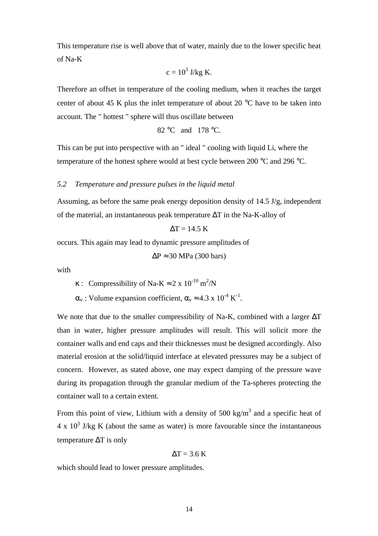This temperature rise is well above that of water, mainly due to the lower specific heat of Na-K

$$
c = 10^3
$$
 J/kg K.

Therefore an offset in temperature of the cooling medium, when it reaches the target center of about 45 K plus the inlet temperature of about 20 °C have to be taken into account. The " hottest " sphere will thus oscillate between

```
82 °C and 178 °C.
```
This can be put into perspective with an " ideal " cooling with liquid Li, where the temperature of the hottest sphere would at best cycle between 200 °C and 296 °C.

## *5.2 Temperature and pressure pulses in the liquid metal*

Assuming, as before the same peak energy deposition density of 14.5 J/g, independent of the material, an instantaneous peak temperature ΔT in the Na-K-alloy of

$$
\Delta T = 14.5 \text{ K}
$$

occurs. This again may lead to dynamic pressure amplitudes of  $\Delta P \approx 30 \text{ MPa}$  (300 bars)

with

- $\kappa$ : Compressibility of Na-K  $\approx 2 \times 10^{-10} \text{ m}^2/\text{N}$
- $\alpha_{v}$ : Volume expansion coefficient,  $\alpha_{v} \approx 4.3 \times 10^{-4} \text{ K}^{-1}$ .

We note that due to the smaller compressibility of Na-K, combined with a larger ΔT than in water, higher pressure amplitudes will result. This will solicit more the container walls and end caps and their thicknesses must be designed accordingly. Also material erosion at the solid/liquid interface at elevated pressures may be a subject of concern. However, as stated above, one may expect damping of the pressure wave during its propagation through the granular medium of the Ta-spheres protecting the container wall to a certain extent.

From this point of view, Lithium with a density of 500 kg/m<sup>3</sup> and a specific heat of  $4 \times 10^3$  J/kg K (about the same as water) is more favourable since the instantaneous temperature  $\Delta T$  is only

$$
\Delta T = 3.6 \text{ K}
$$

which should lead to lower pressure amplitudes.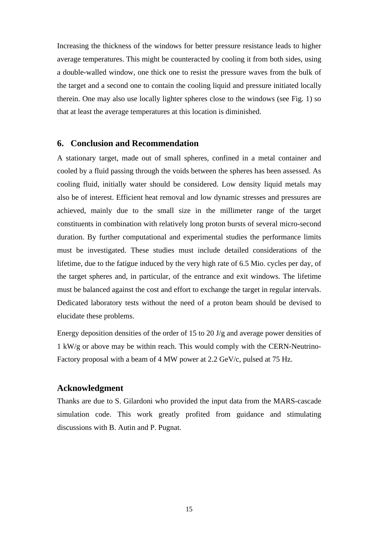Increasing the thickness of the windows for better pressure resistance leads to higher average temperatures. This might be counteracted by cooling it from both sides, using a double-walled window, one thick one to resist the pressure waves from the bulk of the target and a second one to contain the cooling liquid and pressure initiated locally therein. One may also use locally lighter spheres close to the windows (see Fig. 1) so that at least the average temperatures at this location is diminished.

# **6. Conclusion and Recommendation**

A stationary target, made out of small spheres, confined in a metal container and cooled by a fluid passing through the voids between the spheres has been assessed. As cooling fluid, initially water should be considered. Low density liquid metals may also be of interest. Efficient heat removal and low dynamic stresses and pressures are achieved, mainly due to the small size in the millimeter range of the target constituents in combination with relatively long proton bursts of several micro-second duration. By further computational and experimental studies the performance limits must be investigated. These studies must include detailed considerations of the lifetime, due to the fatigue induced by the very high rate of 6.5 Mio. cycles per day, of the target spheres and, in particular, of the entrance and exit windows. The lifetime must be balanced against the cost and effort to exchange the target in regular intervals. Dedicated laboratory tests without the need of a proton beam should be devised to elucidate these problems.

Energy deposition densities of the order of 15 to 20 J/g and average power densities of 1 kW/g or above may be within reach. This would comply with the CERN-Neutrino-Factory proposal with a beam of 4 MW power at 2.2 GeV/c, pulsed at 75 Hz.

## **Acknowledgment**

Thanks are due to S. Gilardoni who provided the input data from the MARS-cascade simulation code. This work greatly profited from guidance and stimulating discussions with B. Autin and P. Pugnat.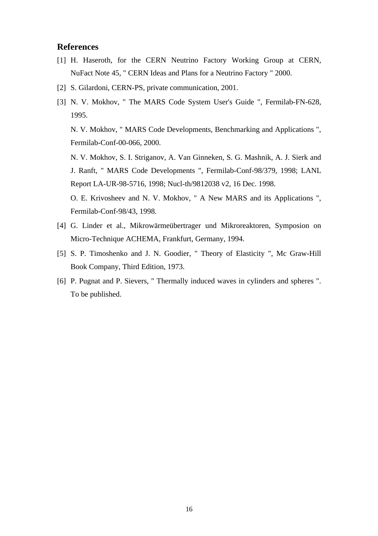# **References**

- [1] H. Haseroth, for the CERN Neutrino Factory Working Group at CERN, NuFact Note 45, " CERN Ideas and Plans for a Neutrino Factory " 2000.
- [2] S. Gilardoni, CERN-PS, private communication, 2001.
- [3] N. V. Mokhov, " The MARS Code System User's Guide ", Fermilab-FN-628, 1995.

N. V. Mokhov, " MARS Code Developments, Benchmarking and Applications ", Fermilab-Conf-00-066, 2000.

N. V. Mokhov, S. I. Striganov, A. Van Ginneken, S. G. Mashnik, A. J. Sierk and J. Ranft, " MARS Code Developments ", Fermilab-Conf-98/379, 1998; LANL Report LA-UR-98-5716, 1998; Nucl-th/9812038 v2, 16 Dec. 1998.

O. E. Krivosheev and N. V. Mokhov, " A New MARS and its Applications ", Fermilab-Conf-98/43, 1998.

- [4] G. Linder et al., Mikrowärmeübertrager und Mikroreaktoren, Symposion on Micro-Technique ACHEMA, Frankfurt, Germany, 1994.
- [5] S. P. Timoshenko and J. N. Goodier, " Theory of Elasticity ", Mc Graw-Hill Book Company, Third Edition, 1973.
- [6] P. Pugnat and P. Sievers, " Thermally induced waves in cylinders and spheres ". To be published.